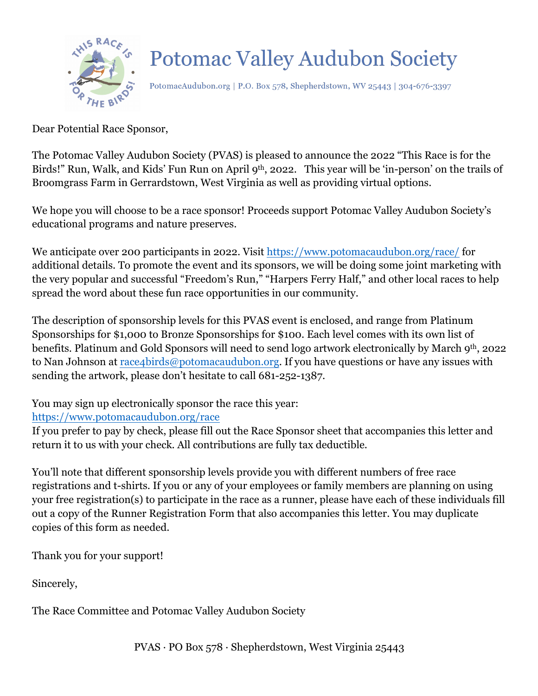

PotomacAudubon.org | P.O. Box 578, Shepherdstown, WV 25443 | 304-676-3397

Dear Potential Race Sponsor,

The Potomac Valley Audubon Society (PVAS) is pleased to announce the 2022 "This Race is for the Birds!" Run, Walk, and Kids' Fun Run on April 9th, 2022. This year will be 'in-person' on the trails of Broomgrass Farm in Gerrardstown, West Virginia as well as providing virtual options.

We hope you will choose to be a race sponsor! Proceeds support Potomac Valley Audubon Society's educational programs and nature preserves.

We anticipate over 200 participants in 2022. Visit https://www.potomacaudubon.org/race/ for additional details. To promote the event and its sponsors, we will be doing some joint marketing with the very popular and successful "Freedom's Run," "Harpers Ferry Half," and other local races to help spread the word about these fun race opportunities in our community.

The description of sponsorship levels for this PVAS event is enclosed, and range from Platinum Sponsorships for \$1,000 to Bronze Sponsorships for \$100. Each level comes with its own list of benefits. Platinum and Gold Sponsors will need to send logo artwork electronically by March 9th, 2022 to Nan Johnson at race4birds@potomacaudubon.org. If you have questions or have any issues with sending the artwork, please don't hesitate to call 681-252-1387.

You may sign up electronically sponsor the race this year: https://www.potomacaudubon.org/race

If you prefer to pay by check, please fill out the Race Sponsor sheet that accompanies this letter and return it to us with your check. All contributions are fully tax deductible.

You'll note that different sponsorship levels provide you with different numbers of free race registrations and t-shirts. If you or any of your employees or family members are planning on using your free registration(s) to participate in the race as a runner, please have each of these individuals fill out a copy of the Runner Registration Form that also accompanies this letter. You may duplicate copies of this form as needed.

Thank you for your support!

Sincerely,

The Race Committee and Potomac Valley Audubon Society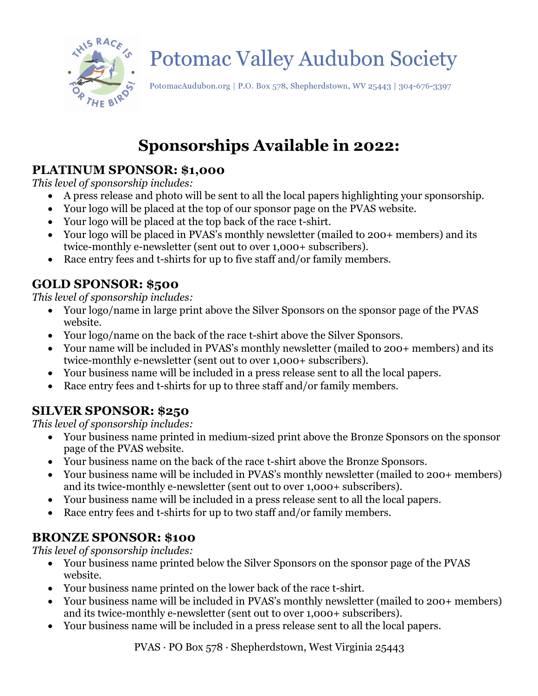

PotomacAudubon.org | P.O. Box 578, Shepherdstown, WV 25443 | 304-676-3397

### **Sponsorships Available in 2022:**

#### **PLATINUM SPONSOR: \$1,000**

*This level of sponsorship includes:*

- A press release and photo will be sent to all the local papers highlighting your sponsorship.
- Your logo will be placed at the top of our sponsor page on the PVAS website.
- Your logo will be placed at the top back of the race t-shirt.
- Your logo will be placed in PVAS's monthly newsletter (mailed to 200+ members) and its twice-monthly e-newsletter (sent out to over 1,000+ subscribers).
- Race entry fees and t-shirts for up to five staff and/or family members.

### **GOLD SPONSOR: \$500**

*This level of sponsorship includes:*

- Your logo/name in large print above the Silver Sponsors on the sponsor page of the PVAS website.
- Your logo/name on the back of the race t-shirt above the Silver Sponsors.
- Your name will be included in PVAS's monthly newsletter (mailed to 200+ members) and its twice-monthly e-newsletter (sent out to over 1,000+ subscribers).
- Your business name will be included in a press release sent to all the local papers.
- Race entry fees and t-shirts for up to three staff and/or family members.

### **SILVER SPONSOR: \$250**

*This level of sponsorship includes:*

- Your business name printed in medium-sized print above the Bronze Sponsors on the sponsor page of the PVAS website.
- Your business name on the back of the race t-shirt above the Bronze Sponsors.
- Your business name will be included in PVAS's monthly newsletter (mailed to 200+ members) and its twice-monthly e-newsletter (sent out to over 1,000+ subscribers).
- Your business name will be included in a press release sent to all the local papers.
- Race entry fees and t-shirts for up to two staff and/or family members.

#### **BRONZE SPONSOR: \$100**

*This level of sponsorship includes:*

- Your business name printed below the Silver Sponsors on the sponsor page of the PVAS website.
- Your business name printed on the lower back of the race t-shirt.
- Your business name will be included in PVAS's monthly newsletter (mailed to 200+ members) and its twice-monthly e-newsletter (sent out to over 1,000+ subscribers).
- Your business name will be included in a press release sent to all the local papers.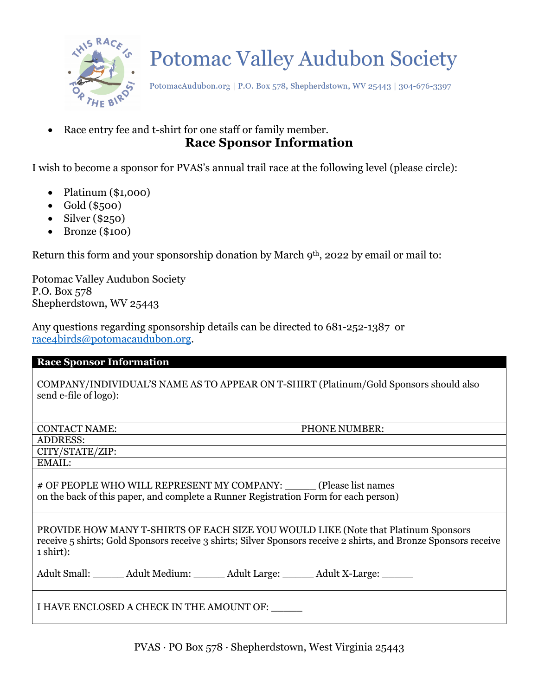

PotomacAudubon.org | P.O. Box 578, Shepherdstown, WV 25443 | 304-676-3397

Race entry fee and t-shirt for one staff or family member. **Race Sponsor Information**

I wish to become a sponsor for PVAS's annual trail race at the following level (please circle):

- Platinum (\$1,000)
- $\bullet$  Gold (\$500)
- Silver (\$250)
- Bronze (\$100)

Return this form and your sponsorship donation by March 9<sup>th</sup>, 2022 by email or mail to:

Potomac Valley Audubon Society P.O. Box 578 Shepherdstown, WV 25443

Any questions regarding sponsorship details can be directed to 681-252-1387 or race4birds@potomacaudubon.org.

#### **Race Sponsor Information**

COMPANY/INDIVIDUAL'S NAME AS TO APPEAR ON T-SHIRT (Platinum/Gold Sponsors should also send e-file of logo):

| <b>CONTACT NAME:</b>                                                                                                                                                                                                         | PHONE NUMBER: |  |
|------------------------------------------------------------------------------------------------------------------------------------------------------------------------------------------------------------------------------|---------------|--|
| <b>ADDRESS:</b>                                                                                                                                                                                                              |               |  |
| CITY/STATE/ZIP:                                                                                                                                                                                                              |               |  |
| EMAIL:                                                                                                                                                                                                                       |               |  |
| # OF PEOPLE WHO WILL REPRESENT MY COMPANY: (Please list names<br>on the back of this paper, and complete a Runner Registration Form for each person)                                                                         |               |  |
| PROVIDE HOW MANY T-SHIRTS OF EACH SIZE YOU WOULD LIKE (Note that Platinum Sponsors<br>receive 5 shirts; Gold Sponsors receive 3 shirts; Silver Sponsors receive 2 shirts, and Bronze Sponsors receive<br>$1 \text{ shirt}$ : |               |  |
| Adult Small: Adult Medium: Adult Large: Adult X-Large:                                                                                                                                                                       |               |  |
| I HAVE ENCLOSED A CHECK IN THE AMOUNT OF:                                                                                                                                                                                    |               |  |

PVAS · PO Box 578 · Shepherdstown, West Virginia 25443